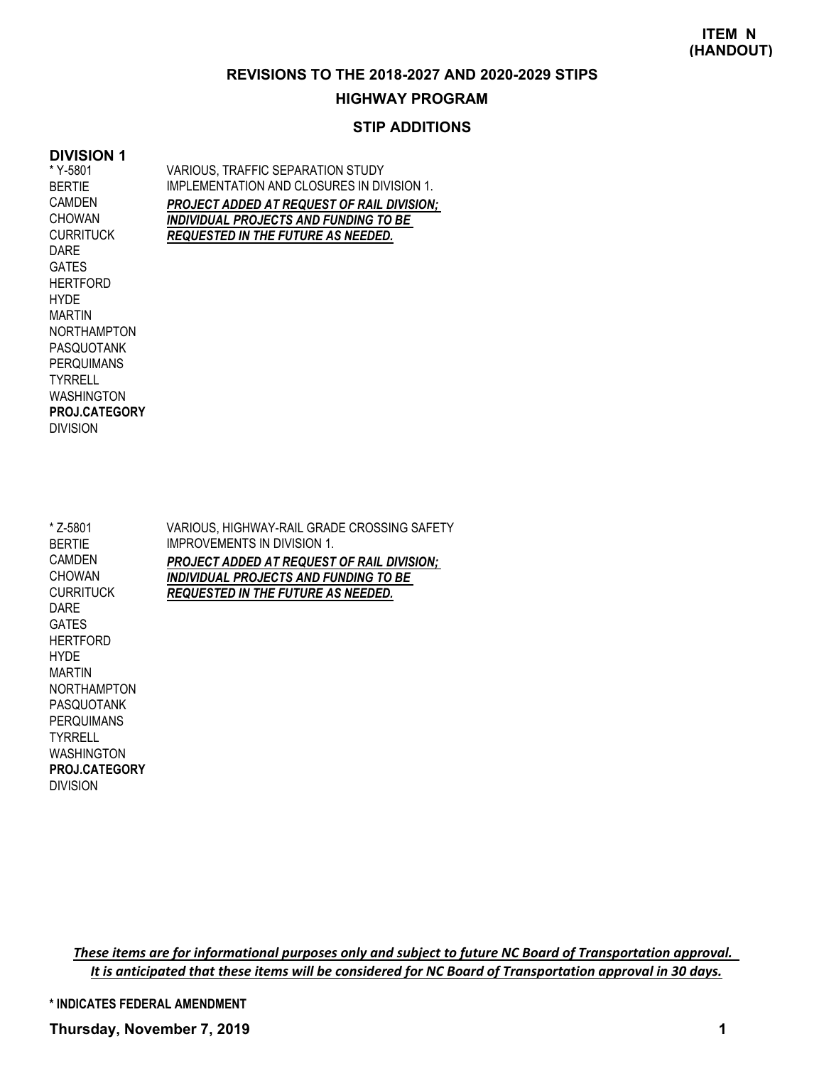### **REVISIONS TO THE 2018-2027 AND 2020-2029 STIPS**

#### **HIGHWAY PROGRAM**

## **STIP ADDITIONS**

## **DIVISION 1**

\* Y-5801 BERTIE CAMDEN **CHOWAN CURRITUCK** DARE GATES **HERTFORD** HYDE MARTIN NORTHAMPTON PASQUOTANK PERQUIMANS **TYRRELL** WASHINGTON DIVISION **PROJ.CATEGORY** VARIOUS, TRAFFIC SEPARATION STUDY IMPLEMENTATION AND CLOSURES IN DIVISION 1. *PROJECT ADDED AT REQUEST OF RAIL DIVISION; INDIVIDUAL PROJECTS AND FUNDING TO BE REQUESTED IN THE FUTURE AS NEEDED.*

VARIOUS, HIGHWAY-RAIL GRADE CROSSING SAFETY IMPROVEMENTS IN DIVISION 1. *PROJECT ADDED AT REQUEST OF RAIL DIVISION; INDIVIDUAL PROJECTS AND FUNDING TO BE REQUESTED IN THE FUTURE AS NEEDED.* \* Z-5801 BERTIE CAMDEN CHOWAN **CURRITUCK** DARE GATES **HERTFORD** HYDE MARTIN NORTHAMPTON PASQUOTANK PERQUIMANS

WASHINGTON DIVISION **PROJ.CATEGORY**

TYRRELL

*These items are for informational purposes only and subject to future NC Board of Transportation approval. It is anticipated that these items will be considered for NC Board of Transportation approval in 30 days.*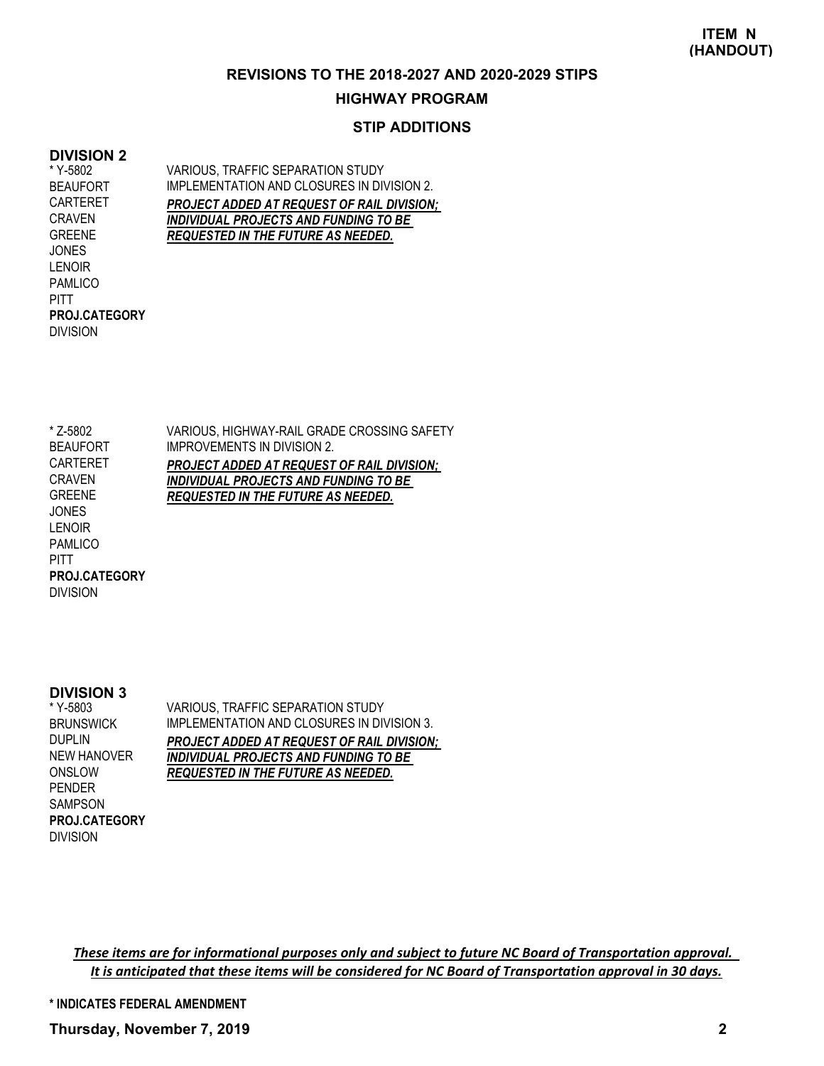#### **REVISIONS TO THE 2018-2027 AND 2020-2029 STIPS**

### **HIGHWAY PROGRAM**

## **STIP ADDITIONS**

### **DIVISION 2**

\* Y-5802 BEAUFORT CARTERET CRAVEN GREENE **JONES** LENOIR PAMLICO PITT DIVISION **PROJ.CATEGORY** VARIOUS, TRAFFIC SEPARATION STUDY IMPLEMENTATION AND CLOSURES IN DIVISION 2. *PROJECT ADDED AT REQUEST OF RAIL DIVISION; INDIVIDUAL PROJECTS AND FUNDING TO BE REQUESTED IN THE FUTURE AS NEEDED.*

VARIOUS, HIGHWAY-RAIL GRADE CROSSING SAFETY IMPROVEMENTS IN DIVISION 2. *PROJECT ADDED AT REQUEST OF RAIL DIVISION; INDIVIDUAL PROJECTS AND FUNDING TO BE REQUESTED IN THE FUTURE AS NEEDED.* \* Z-5802 BEAUFORT CARTERET CRAVEN GREENE JONES LENOIR PAMLICO **PITT** DIVISION **PROJ.CATEGORY**

#### **DIVISION 3**

\* Y-5803 **BRUNSWICK** DUPLIN NEW HANOVER ONSLOW PENDER SAMPSON DIVISION **PROJ.CATEGORY** VARIOUS, TRAFFIC SEPARATION STUDY IMPLEMENTATION AND CLOSURES IN DIVISION 3. *PROJECT ADDED AT REQUEST OF RAIL DIVISION; INDIVIDUAL PROJECTS AND FUNDING TO BE REQUESTED IN THE FUTURE AS NEEDED.*

*These items are for informational purposes only and subject to future NC Board of Transportation approval. It is anticipated that these items will be considered for NC Board of Transportation approval in 30 days.*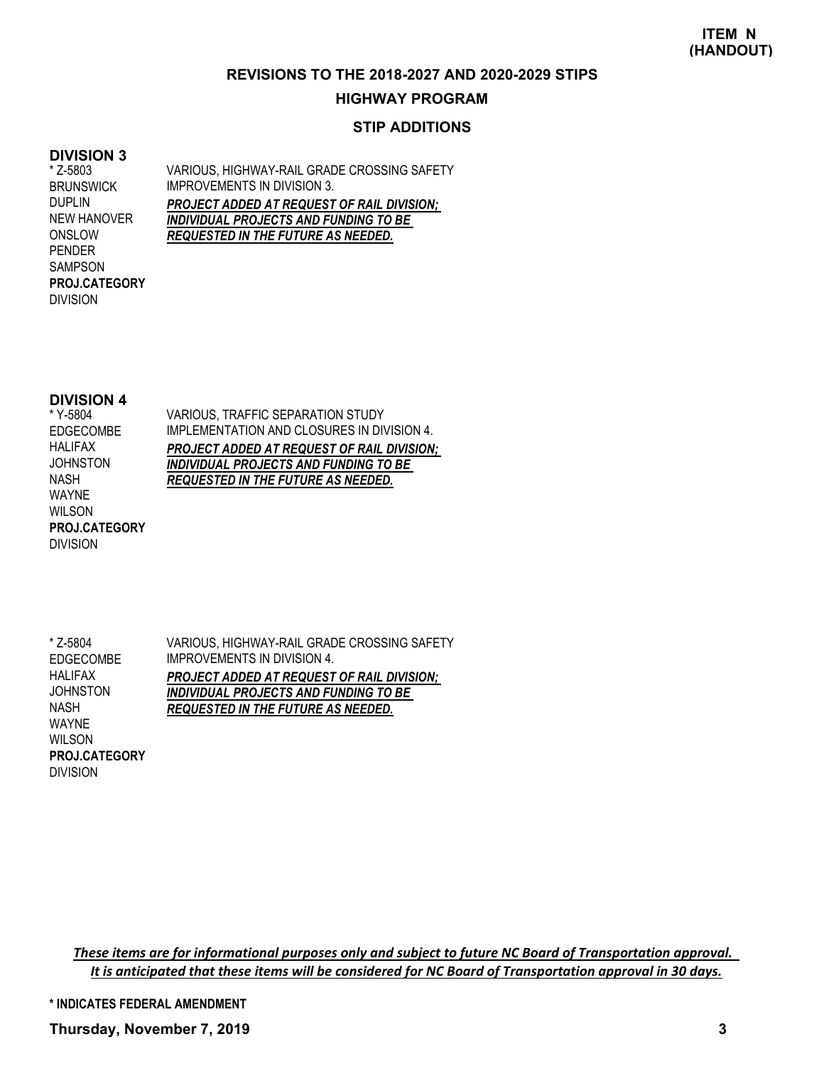#### **REVISIONS TO THE 2018-2027 AND 2020-2029 STIPS**

### **HIGHWAY PROGRAM**

## **STIP ADDITIONS**

## **DIVISION 3**

\* Z-5803 BRUNSWICK DUPLIN NEW HANOVER ONSLOW PENDER SAMPSON DIVISION **PROJ.CATEGORY** VARIOUS, HIGHWAY-RAIL GRADE CROSSING SAFETY IMPROVEMENTS IN DIVISION 3. *PROJECT ADDED AT REQUEST OF RAIL DIVISION; INDIVIDUAL PROJECTS AND FUNDING TO BE REQUESTED IN THE FUTURE AS NEEDED.*

#### **DIVISION 4**

\* Y-5804 EDGECOMBE HALIFAX **JOHNSTON** NASH WAYNE WILSON DIVISION **PROJ.CATEGORY** VARIOUS, TRAFFIC SEPARATION STUDY IMPLEMENTATION AND CLOSURES IN DIVISION 4. *PROJECT ADDED AT REQUEST OF RAIL DIVISION; INDIVIDUAL PROJECTS AND FUNDING TO BE REQUESTED IN THE FUTURE AS NEEDED.*

VARIOUS, HIGHWAY-RAIL GRADE CROSSING SAFETY IMPROVEMENTS IN DIVISION 4. *PROJECT ADDED AT REQUEST OF RAIL DIVISION; INDIVIDUAL PROJECTS AND FUNDING TO BE REQUESTED IN THE FUTURE AS NEEDED.* \* Z-5804 EDGECOMBE HALIFAX **JOHNSTON** NASH WAYNE WILSON **PROJ.CATEGORY**

DIVISION

*These items are for informational purposes only and subject to future NC Board of Transportation approval. It is anticipated that these items will be considered for NC Board of Transportation approval in 30 days.*

**\* INDICATES FEDERAL AMENDMENT**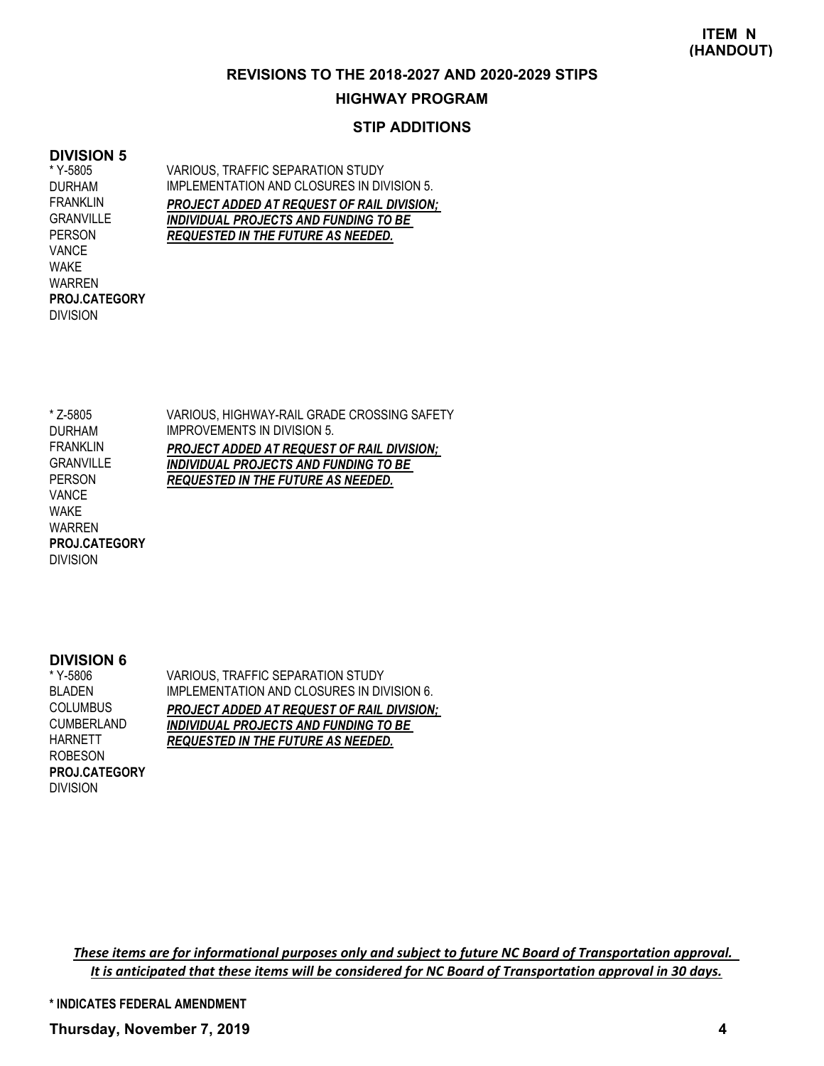#### **REVISIONS TO THE 2018-2027 AND 2020-2029 STIPS**

#### **HIGHWAY PROGRAM**

### **STIP ADDITIONS**

### **DIVISION 5**

\* Y-5805 DURHAM FRANKLIN GRANVILLE PERSON VANCE WAKE WARREN DIVISION **PROJ.CATEGORY** VARIOUS, TRAFFIC SEPARATION STUDY IMPLEMENTATION AND CLOSURES IN DIVISION 5. *PROJECT ADDED AT REQUEST OF RAIL DIVISION; INDIVIDUAL PROJECTS AND FUNDING TO BE REQUESTED IN THE FUTURE AS NEEDED.*

VARIOUS, HIGHWAY-RAIL GRADE CROSSING SAFETY IMPROVEMENTS IN DIVISION 5. *PROJECT ADDED AT REQUEST OF RAIL DIVISION; INDIVIDUAL PROJECTS AND FUNDING TO BE REQUESTED IN THE FUTURE AS NEEDED.* \* Z-5805 DURHAM FRANKLIN GRANVILLE PERSON VANCE WAKE WARREN DIVISION **PROJ.CATEGORY**

#### **DIVISION 6**

VARIOUS, TRAFFIC SEPARATION STUDY IMPLEMENTATION AND CLOSURES IN DIVISION 6. *PROJECT ADDED AT REQUEST OF RAIL DIVISION; INDIVIDUAL PROJECTS AND FUNDING TO BE REQUESTED IN THE FUTURE AS NEEDED.* \* Y-5806 BLADEN **COLUMBUS** CUMBERLAND HARNETT ROBESON DIVISION **PROJ.CATEGORY**

*These items are for informational purposes only and subject to future NC Board of Transportation approval. It is anticipated that these items will be considered for NC Board of Transportation approval in 30 days.*

**\* INDICATES FEDERAL AMENDMENT**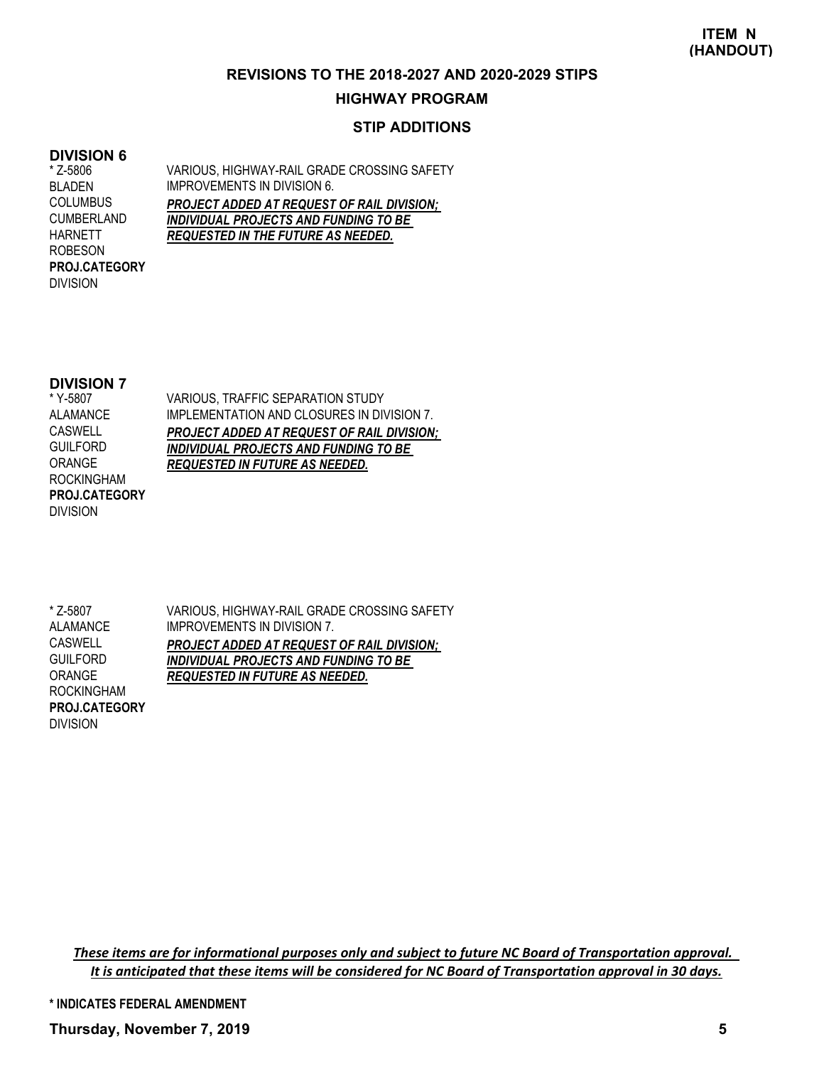#### **REVISIONS TO THE 2018-2027 AND 2020-2029 STIPS**

### **HIGHWAY PROGRAM**

## **STIP ADDITIONS**

### **DIVISION 6**

\* Z-5806 BLADEN COLUMBUS CUMBERLAND HARNETT ROBESON DIVISION **PROJ.CATEGORY** VARIOUS, HIGHWAY-RAIL GRADE CROSSING SAFETY IMPROVEMENTS IN DIVISION 6. *PROJECT ADDED AT REQUEST OF RAIL DIVISION; INDIVIDUAL PROJECTS AND FUNDING TO BE REQUESTED IN THE FUTURE AS NEEDED.*

#### **DIVISION 7**

\* Y-5807 ALAMANCE CASWELL GUILFORD ORANGE ROCKINGHAM DIVISION **PROJ.CATEGORY** VARIOUS, TRAFFIC SEPARATION STUDY IMPLEMENTATION AND CLOSURES IN DIVISION 7. *PROJECT ADDED AT REQUEST OF RAIL DIVISION; INDIVIDUAL PROJECTS AND FUNDING TO BE REQUESTED IN FUTURE AS NEEDED.*

VARIOUS, HIGHWAY-RAIL GRADE CROSSING SAFETY IMPROVEMENTS IN DIVISION 7. *PROJECT ADDED AT REQUEST OF RAIL DIVISION; INDIVIDUAL PROJECTS AND FUNDING TO BE REQUESTED IN FUTURE AS NEEDED.* \* Z-5807 ALAMANCE CASWELL GUILFORD ORANGE ROCKINGHAM **PROJ.CATEGORY**

DIVISION

*These items are for informational purposes only and subject to future NC Board of Transportation approval. It is anticipated that these items will be considered for NC Board of Transportation approval in 30 days.*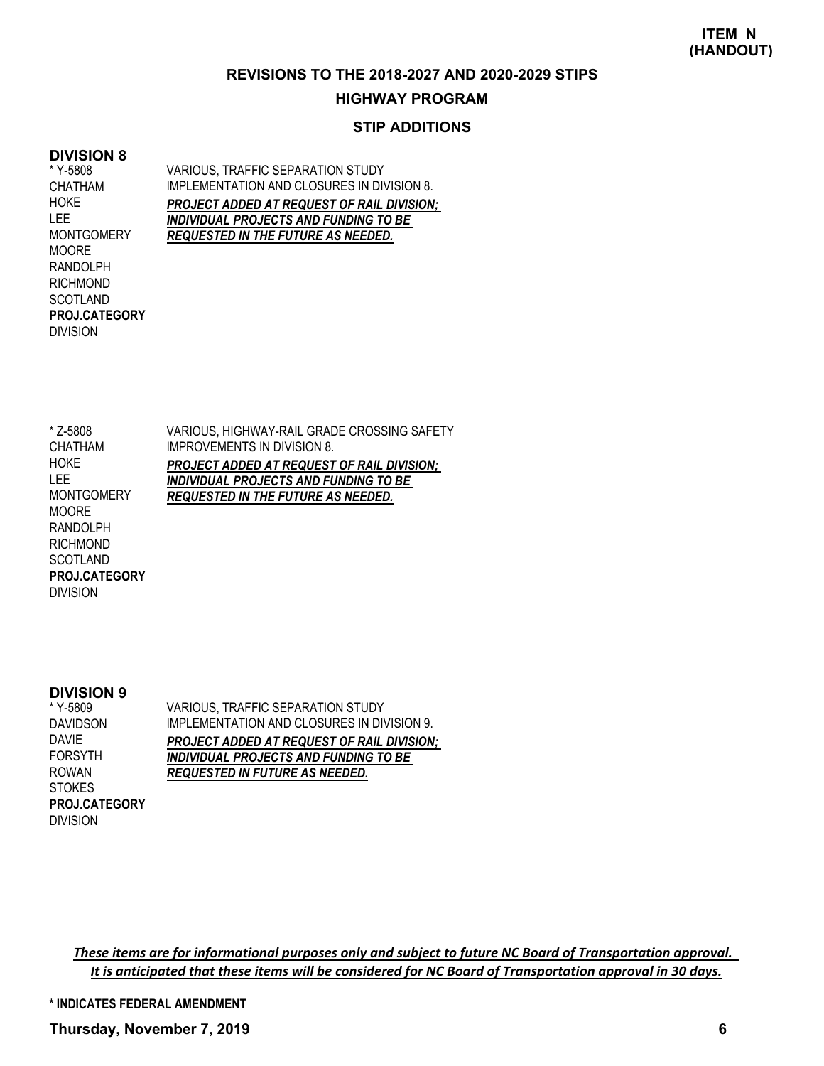#### **REVISIONS TO THE 2018-2027 AND 2020-2029 STIPS**

### **HIGHWAY PROGRAM**

## **STIP ADDITIONS**

### **DIVISION 8**

\* Y-5808 CHATHAM **HOKE** LEE **MONTGOMERY MOORE** RANDOLPH RICHMOND SCOTLAND DIVISION **PROJ.CATEGORY** VARIOUS, TRAFFIC SEPARATION STUDY IMPLEMENTATION AND CLOSURES IN DIVISION 8. *PROJECT ADDED AT REQUEST OF RAIL DIVISION; INDIVIDUAL PROJECTS AND FUNDING TO BE REQUESTED IN THE FUTURE AS NEEDED.*

\* Z-5808 CHATHAM **HOKE** LEE MONTGOMERY MOORE RANDOLPH RICHMOND **SCOTLAND** DIVISION **PROJ.CATEGORY**

VARIOUS, HIGHWAY-RAIL GRADE CROSSING SAFETY IMPROVEMENTS IN DIVISION 8. *PROJECT ADDED AT REQUEST OF RAIL DIVISION; INDIVIDUAL PROJECTS AND FUNDING TO BE REQUESTED IN THE FUTURE AS NEEDED.*

#### **DIVISION 9**

\* Y-5809 DAVIDSON DAVIE FORSYTH ROWAN **STOKES** DIVISION **PROJ.CATEGORY** VARIOUS, TRAFFIC SEPARATION STUDY IMPLEMENTATION AND CLOSURES IN DIVISION 9. *PROJECT ADDED AT REQUEST OF RAIL DIVISION; INDIVIDUAL PROJECTS AND FUNDING TO BE REQUESTED IN FUTURE AS NEEDED.*

*These items are for informational purposes only and subject to future NC Board of Transportation approval. It is anticipated that these items will be considered for NC Board of Transportation approval in 30 days.*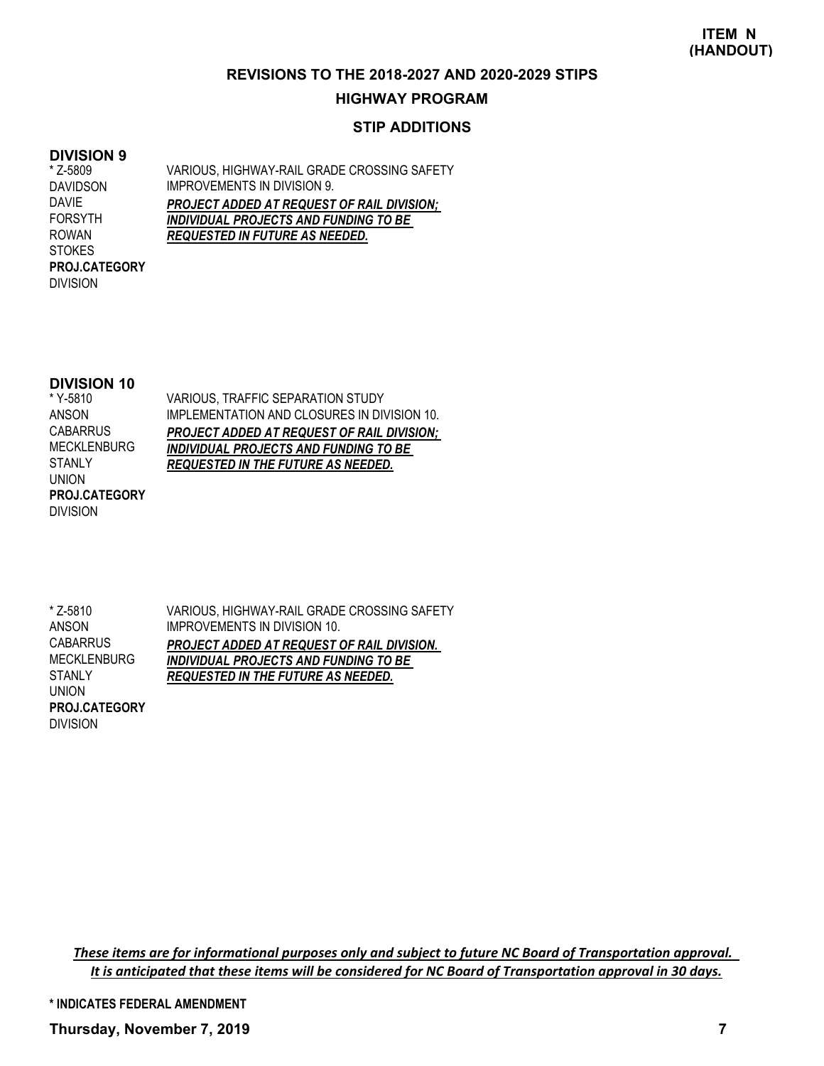#### **REVISIONS TO THE 2018-2027 AND 2020-2029 STIPS**

### **HIGHWAY PROGRAM**

## **STIP ADDITIONS**

### **DIVISION 9**

\* Z-5809 DAVIDSON DAVIE FORSYTH ROWAN **STOKES** DIVISION **PROJ.CATEGORY** VARIOUS, HIGHWAY-RAIL GRADE CROSSING SAFETY IMPROVEMENTS IN DIVISION 9. *PROJECT ADDED AT REQUEST OF RAIL DIVISION; INDIVIDUAL PROJECTS AND FUNDING TO BE REQUESTED IN FUTURE AS NEEDED.*

#### **DIVISION 10**

VARIOUS, TRAFFIC SEPARATION STUDY IMPLEMENTATION AND CLOSURES IN DIVISION 10. *PROJECT ADDED AT REQUEST OF RAIL DIVISION; INDIVIDUAL PROJECTS AND FUNDING TO BE REQUESTED IN THE FUTURE AS NEEDED.* \* Y-5810 ANSON CABARRUS MECKLENBURG STANLY UNION DIVISION **PROJ.CATEGORY**

VARIOUS, HIGHWAY-RAIL GRADE CROSSING SAFETY IMPROVEMENTS IN DIVISION 10. *PROJECT ADDED AT REQUEST OF RAIL DIVISION. INDIVIDUAL PROJECTS AND FUNDING TO BE REQUESTED IN THE FUTURE AS NEEDED.* \* Z-5810 ANSON **CABARRUS** MECKLENBURG **STANLY** UNION **PROJ.CATEGORY**

DIVISION

*These items are for informational purposes only and subject to future NC Board of Transportation approval. It is anticipated that these items will be considered for NC Board of Transportation approval in 30 days.*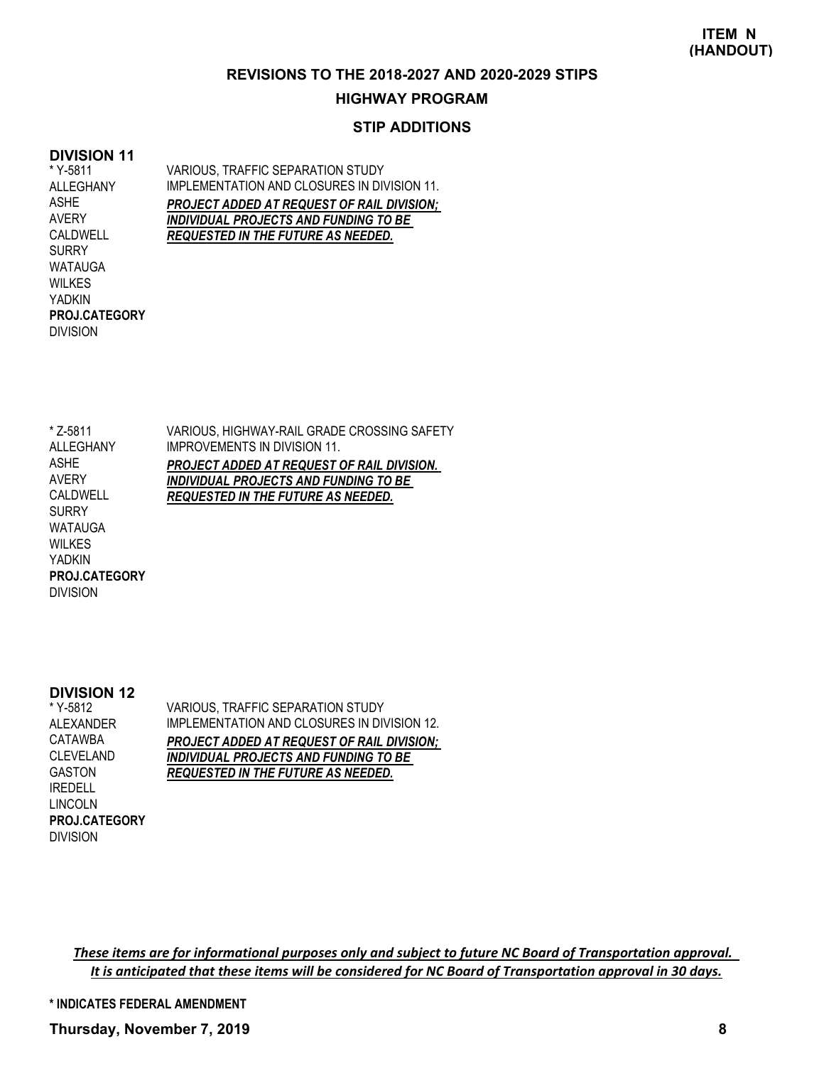#### **REVISIONS TO THE 2018-2027 AND 2020-2029 STIPS**

### **HIGHWAY PROGRAM**

## **STIP ADDITIONS**

## **DIVISION 11**

\* Y-5811 ALLEGHANY ASHE AVERY CALDWELL **SURRY** WATAUGA WILKES YADKIN DIVISION **PROJ.CATEGORY** VARIOUS, TRAFFIC SEPARATION STUDY IMPLEMENTATION AND CLOSURES IN DIVISION 11. *PROJECT ADDED AT REQUEST OF RAIL DIVISION; INDIVIDUAL PROJECTS AND FUNDING TO BE REQUESTED IN THE FUTURE AS NEEDED.*

VARIOUS, HIGHWAY-RAIL GRADE CROSSING SAFETY IMPROVEMENTS IN DIVISION 11. *PROJECT ADDED AT REQUEST OF RAIL DIVISION. INDIVIDUAL PROJECTS AND FUNDING TO BE REQUESTED IN THE FUTURE AS NEEDED.* \* Z-5811 ALLEGHANY ASHE AVERY CALDWELL SURRY WATAUGA WILKES YADKIN **PROJ.CATEGORY**

#### **DIVISION 12**

DIVISION

\* Y-5812 ALEXANDER CATAWBA CLEVELAND GASTON IREDELL LINCOLN DIVISION **PROJ.CATEGORY** VARIOUS, TRAFFIC SEPARATION STUDY IMPLEMENTATION AND CLOSURES IN DIVISION 12. *PROJECT ADDED AT REQUEST OF RAIL DIVISION; INDIVIDUAL PROJECTS AND FUNDING TO BE REQUESTED IN THE FUTURE AS NEEDED.*

*These items are for informational purposes only and subject to future NC Board of Transportation approval. It is anticipated that these items will be considered for NC Board of Transportation approval in 30 days.*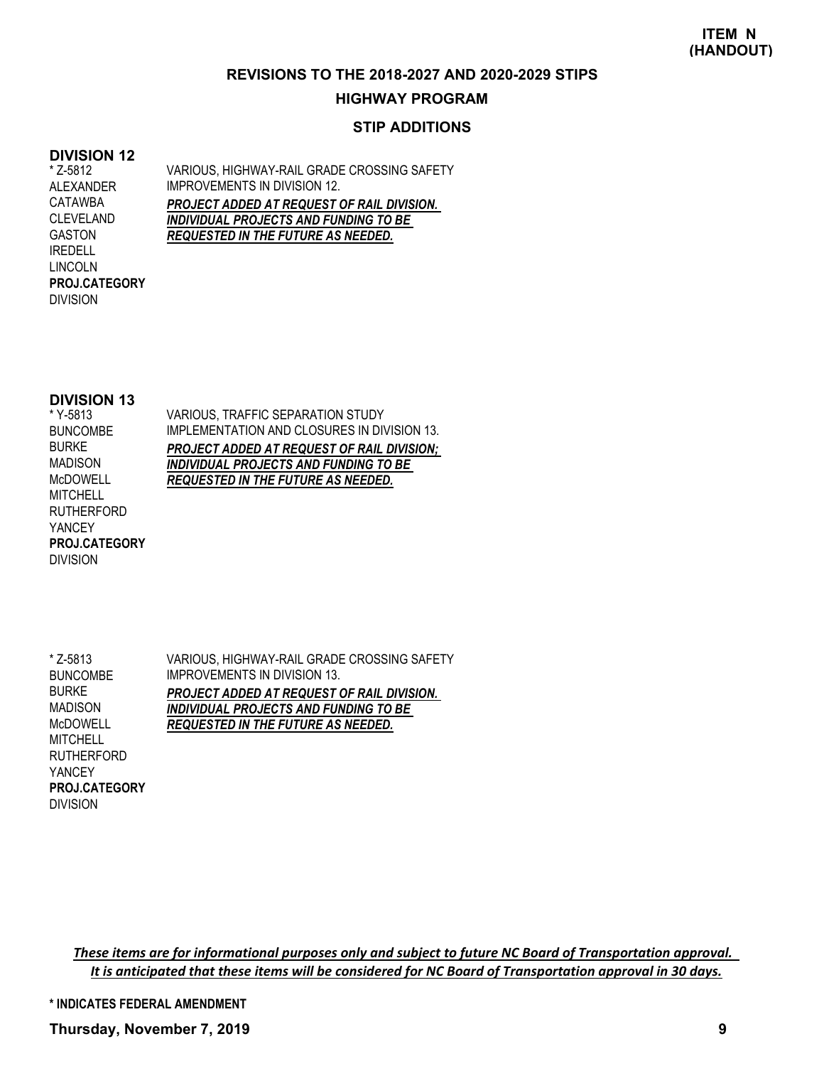### **REVISIONS TO THE 2018-2027 AND 2020-2029 STIPS**

### **HIGHWAY PROGRAM**

## **STIP ADDITIONS**

## **DIVISION 12**

\* Z-5812 ALEXANDER CATAWBA CLEVELAND GASTON IREDELL LINCOLN DIVISION **PROJ.CATEGORY** VARIOUS, HIGHWAY-RAIL GRADE CROSSING SAFETY IMPROVEMENTS IN DIVISION 12. *PROJECT ADDED AT REQUEST OF RAIL DIVISION. INDIVIDUAL PROJECTS AND FUNDING TO BE REQUESTED IN THE FUTURE AS NEEDED.*

### **DIVISION 13**

\* Y-5813 BUNCOMBE BURKE MADISON McDOWELL **MITCHELL** RUTHERFORD YANCEY DIVISION **PROJ.CATEGORY** VARIOUS, TRAFFIC SEPARATION STUDY IMPLEMENTATION AND CLOSURES IN DIVISION 13. *PROJECT ADDED AT REQUEST OF RAIL DIVISION; INDIVIDUAL PROJECTS AND FUNDING TO BE REQUESTED IN THE FUTURE AS NEEDED.*

\* Z-5813 BUNCOMBE BURKE MADISON McDOWELL **MITCHELL** RUTHERFORD YANCEY DIVISION **PROJ.CATEGORY**

VARIOUS, HIGHWAY-RAIL GRADE CROSSING SAFETY IMPROVEMENTS IN DIVISION 13. *PROJECT ADDED AT REQUEST OF RAIL DIVISION. INDIVIDUAL PROJECTS AND FUNDING TO BE REQUESTED IN THE FUTURE AS NEEDED.*

*These items are for informational purposes only and subject to future NC Board of Transportation approval. It is anticipated that these items will be considered for NC Board of Transportation approval in 30 days.*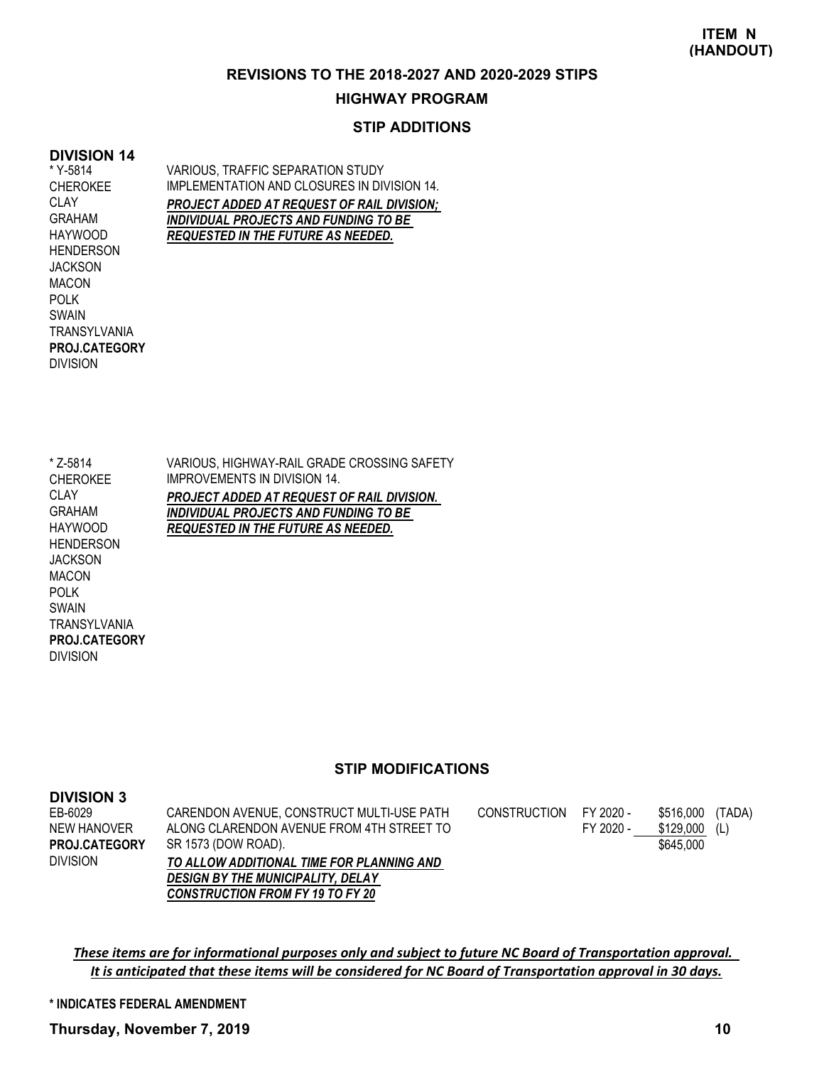### **REVISIONS TO THE 2018-2027 AND 2020-2029 STIPS**

#### **HIGHWAY PROGRAM**

## **STIP ADDITIONS**

## **DIVISION 14**

\* Y-5814 CHEROKEE CLAY GRAHAM HAYWOOD HENDERSON **JACKSON** MACON POLK SWAIN **TRANSYI VANIA** DIVISION **PROJ.CATEGORY** VARIOUS, TRAFFIC SEPARATION STUDY IMPLEMENTATION AND CLOSURES IN DIVISION 14. *PROJECT ADDED AT REQUEST OF RAIL DIVISION; INDIVIDUAL PROJECTS AND FUNDING TO BE REQUESTED IN THE FUTURE AS NEEDED.*

\* Z-5814 CHEROKEE CLAY GRAHAM HAYWOOD **HENDERSON JACKSON** MACON POLK SWAIN **TRANSYLVANIA** DIVISION **PROJ.CATEGORY**

VARIOUS, HIGHWAY-RAIL GRADE CROSSING SAFETY IMPROVEMENTS IN DIVISION 14. *PROJECT ADDED AT REQUEST OF RAIL DIVISION. INDIVIDUAL PROJECTS AND FUNDING TO BE REQUESTED IN THE FUTURE AS NEEDED.*

#### **STIP MODIFICATIONS**

| <b>DIVISION 3</b>    |                                           |              |           |           |        |
|----------------------|-------------------------------------------|--------------|-----------|-----------|--------|
| EB-6029              | CARENDON AVENUE, CONSTRUCT MULTI-USE PATH | CONSTRUCTION | FY 2020 - | \$516,000 | (TADA) |
| NEW HANOVER          | ALONG CLARENDON AVENUE FROM 4TH STREET TO |              | FY 2020 - | \$129,000 | (L)    |
| <b>PROJ.CATEGORY</b> | SR 1573 (DOW ROAD).                       |              |           | \$645,000 |        |
| Division             | TO ALLOW ADDITIONAL TIME FOR PLANNING AND |              |           |           |        |
|                      | <b>DESIGN BY THE MUNICIPALITY, DELAY</b>  |              |           |           |        |
|                      | <b>CONSTRUCTION FROM FY 19 TO FY 20</b>   |              |           |           |        |

*These items are for informational purposes only and subject to future NC Board of Transportation approval. It is anticipated that these items will be considered for NC Board of Transportation approval in 30 days.*

**\* INDICATES FEDERAL AMENDMENT**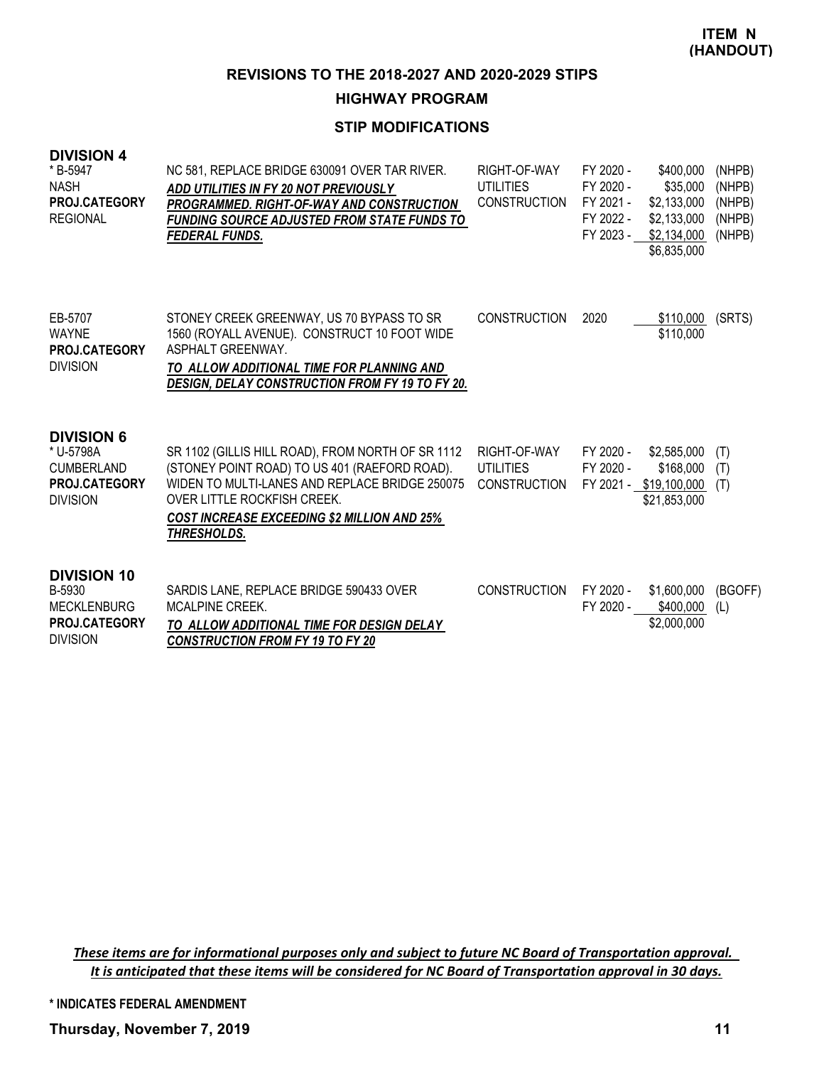**HIGHWAY PROGRAM**

# **STIP MODIFICATIONS**

### **DIVISION 4**

| * B-5947<br><b>NASH</b><br>PROJ.CATEGORY<br><b>REGIONAL</b>                                    | NC 581, REPLACE BRIDGE 630091 OVER TAR RIVER.<br><b>ADD UTILITIES IN FY 20 NOT PREVIOUSLY</b><br><b>PROGRAMMED. RIGHT-OF-WAY AND CONSTRUCTION</b><br><b>FUNDING SOURCE ADJUSTED FROM STATE FUNDS TO</b><br><b>FEDERAL FUNDS.</b>                         | RIGHT-OF-WAY<br><b>UTILITIES</b><br><b>CONSTRUCTION</b> | FY 2020 -<br>FY 2020 -<br>FY 2021 -<br>FY 2022 -<br>FY 2023 - | \$400,000<br>\$35,000<br>\$2,133,000<br>\$2,133,000<br>\$2,134,000<br>\$6,835,000 | (NHPB)<br>(NHPB)<br>(NHPB)<br>(NHPB)<br>(NHPB) |
|------------------------------------------------------------------------------------------------|----------------------------------------------------------------------------------------------------------------------------------------------------------------------------------------------------------------------------------------------------------|---------------------------------------------------------|---------------------------------------------------------------|-----------------------------------------------------------------------------------|------------------------------------------------|
| EB-5707<br><b>WAYNE</b><br>PROJ.CATEGORY<br><b>DIVISION</b>                                    | STONEY CREEK GREENWAY, US 70 BYPASS TO SR<br>1560 (ROYALL AVENUE). CONSTRUCT 10 FOOT WIDE<br>ASPHALT GREENWAY.<br>TO ALLOW ADDITIONAL TIME FOR PLANNING AND<br>DESIGN, DELAY CONSTRUCTION FROM FY 19 TO FY 20.                                           | <b>CONSTRUCTION</b>                                     | 2020                                                          | \$110,000<br>\$110,000                                                            | (SRTS)                                         |
| <b>DIVISION 6</b><br>* U-5798A<br><b>CUMBERLAND</b><br><b>PROJ.CATEGORY</b><br><b>DIVISION</b> | SR 1102 (GILLIS HILL ROAD), FROM NORTH OF SR 1112<br>(STONEY POINT ROAD) TO US 401 (RAEFORD ROAD).<br>WIDEN TO MULTI-LANES AND REPLACE BRIDGE 250075<br>OVER LITTLE ROCKFISH CREEK.<br><b>COST INCREASE EXCEEDING \$2 MILLION AND 25%</b><br>THRESHOLDS. | RIGHT-OF-WAY<br><b>UTILITIES</b><br><b>CONSTRUCTION</b> | FY 2020 -<br>FY 2020 -                                        | \$2,585,000<br>\$168,000<br>FY 2021 - \$19,100,000<br>\$21,853,000                | (T)<br>(T)<br>(T)                              |
| <b>DIVISION 10</b><br>B-5930<br><b>MECKLENBURG</b><br>PROJ.CATEGORY<br><b>DIVISION</b>         | SARDIS LANE, REPLACE BRIDGE 590433 OVER<br><b>MCALPINE CREEK.</b><br>TO ALLOW ADDITIONAL TIME FOR DESIGN DELAY<br><b>CONSTRUCTION FROM FY 19 TO FY 20</b>                                                                                                | <b>CONSTRUCTION</b>                                     | FY 2020 -<br>FY 2020 -                                        | \$1,600,000<br>\$400,000<br>\$2,000,000                                           | (BGOFF)<br>(L)                                 |

*These items are for informational purposes only and subject to future NC Board of Transportation approval. It is anticipated that these items will be considered for NC Board of Transportation approval in 30 days.*

**\* INDICATES FEDERAL AMENDMENT**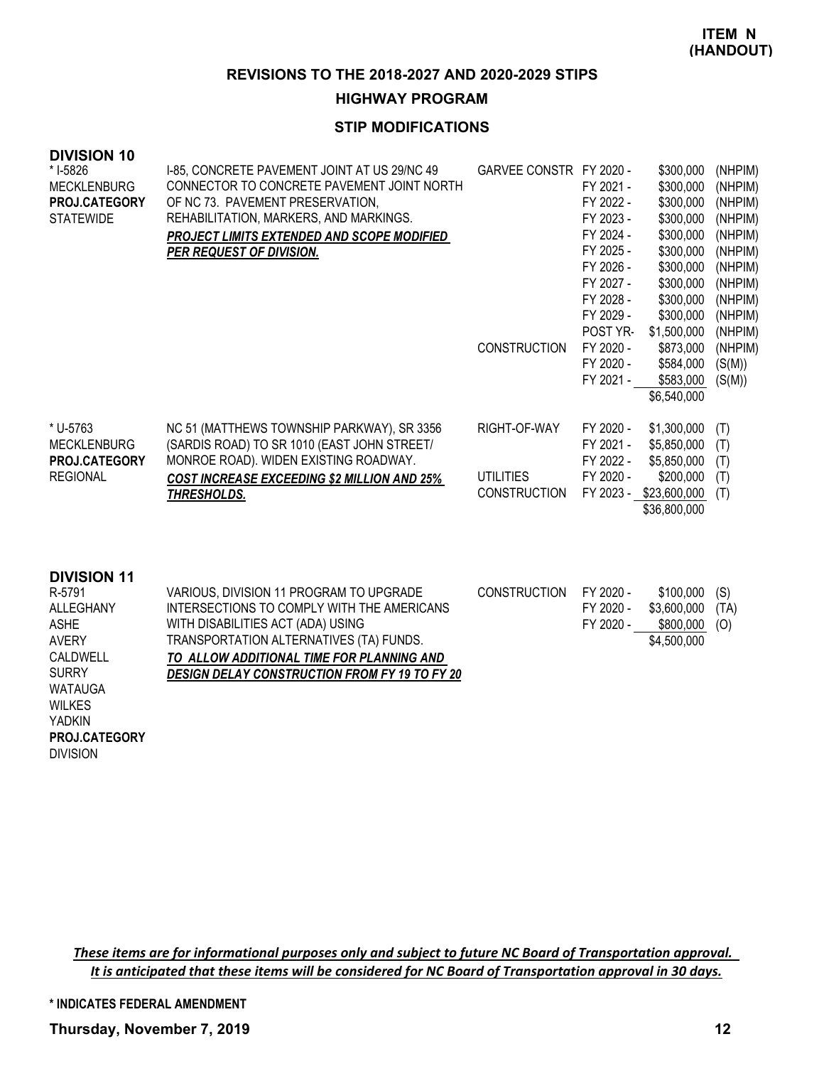### **HIGHWAY PROGRAM**

## **STIP MODIFICATIONS**

| <b>DIVISION 10</b><br>* I-5826<br><b>MECKLENBURG</b><br><b>PROJ.CATEGORY</b><br><b>STATEWIDE</b> | I-85, CONCRETE PAVEMENT JOINT AT US 29/NC 49<br>CONNECTOR TO CONCRETE PAVEMENT JOINT NORTH<br>OF NC 73. PAVEMENT PRESERVATION,<br>REHABILITATION, MARKERS, AND MARKINGS.<br>PROJECT LIMITS EXTENDED AND SCOPE MODIFIED<br>PER REQUEST OF DIVISION. | GARVEE CONSTR FY 2020 -<br><b>CONSTRUCTION</b>          | FY 2021 -<br>FY 2022 -<br>FY 2023 -<br>FY 2024 -<br>FY 2025 -<br>FY 2026 -<br>FY 2027 -<br>FY 2028 -<br>FY 2029 -<br>POST YR-<br>FY 2020 -<br>FY 2020 -<br>FY 2021 - | \$300,000<br>\$300,000<br>\$300,000<br>\$300,000<br>\$300,000<br>\$300,000<br>\$300,000<br>\$300,000<br>\$300,000<br>\$300,000<br>\$1,500,000<br>\$873,000<br>\$584,000<br>\$583,000<br>\$6,540,000 | (NHPIM)<br>(NHPIM)<br>(NHPIM)<br>(NHPIM)<br>(NHPIM)<br>(NHPIM)<br>(NHPIM)<br>(NHPIM)<br>(NHPIM)<br>(NHPIM)<br>(NHPIM)<br>(NHPIM)<br>(S(M))<br>(S(M)) |
|--------------------------------------------------------------------------------------------------|----------------------------------------------------------------------------------------------------------------------------------------------------------------------------------------------------------------------------------------------------|---------------------------------------------------------|----------------------------------------------------------------------------------------------------------------------------------------------------------------------|-----------------------------------------------------------------------------------------------------------------------------------------------------------------------------------------------------|------------------------------------------------------------------------------------------------------------------------------------------------------|
| * U-5763<br><b>MECKLENBURG</b><br>PROJ.CATEGORY<br><b>REGIONAL</b>                               | NC 51 (MATTHEWS TOWNSHIP PARKWAY), SR 3356<br>(SARDIS ROAD) TO SR 1010 (EAST JOHN STREET/<br>MONROE ROAD). WIDEN EXISTING ROADWAY.<br><b>COST INCREASE EXCEEDING \$2 MILLION AND 25%</b><br>THRESHOLDS.                                            | RIGHT-OF-WAY<br><b>UTILITIES</b><br><b>CONSTRUCTION</b> | FY 2020 -<br>FY 2021 -<br>FY 2022 -<br>FY 2020 -<br>FY 2023 -                                                                                                        | \$1,300,000<br>\$5,850,000<br>\$5,850,000<br>\$200,000<br>\$23,600,000<br>\$36,800,000                                                                                                              | (T)<br>(T)<br>(T)<br>(T)<br>(T)                                                                                                                      |
| <b>DIVISION 11</b>                                                                               |                                                                                                                                                                                                                                                    |                                                         |                                                                                                                                                                      |                                                                                                                                                                                                     |                                                                                                                                                      |

| <u>PIVIVIVII I I</u> |                                                      |              |           |             |      |
|----------------------|------------------------------------------------------|--------------|-----------|-------------|------|
| R-5791               | VARIOUS, DIVISION 11 PROGRAM TO UPGRADE              | CONSTRUCTION | FY 2020 - | \$100.000   | (S)  |
| <b>ALLEGHANY</b>     | INTERSECTIONS TO COMPLY WITH THE AMERICANS           |              | FY 2020 - | \$3,600,000 | (TA) |
| ASHE                 | WITH DISABILITIES ACT (ADA) USING                    |              | FY 2020 - | \$800,000   | (O)  |
| <b>AVERY</b>         | TRANSPORTATION ALTERNATIVES (TA) FUNDS.              |              |           | \$4,500,000 |      |
| CALDWELL             | TO ALLOW ADDITIONAL TIME FOR PLANNING AND            |              |           |             |      |
| <b>SURRY</b>         | <b>DESIGN DELAY CONSTRUCTION FROM FY 19 TO FY 20</b> |              |           |             |      |
| <b>WATAUGA</b>       |                                                      |              |           |             |      |
| <b>WILKES</b>        |                                                      |              |           |             |      |
|                      |                                                      |              |           |             |      |

YADKIN DIVISION **PROJ.CATEGORY**

> *These items are for informational purposes only and subject to future NC Board of Transportation approval. It is anticipated that these items will be considered for NC Board of Transportation approval in 30 days.*

**\* INDICATES FEDERAL AMENDMENT**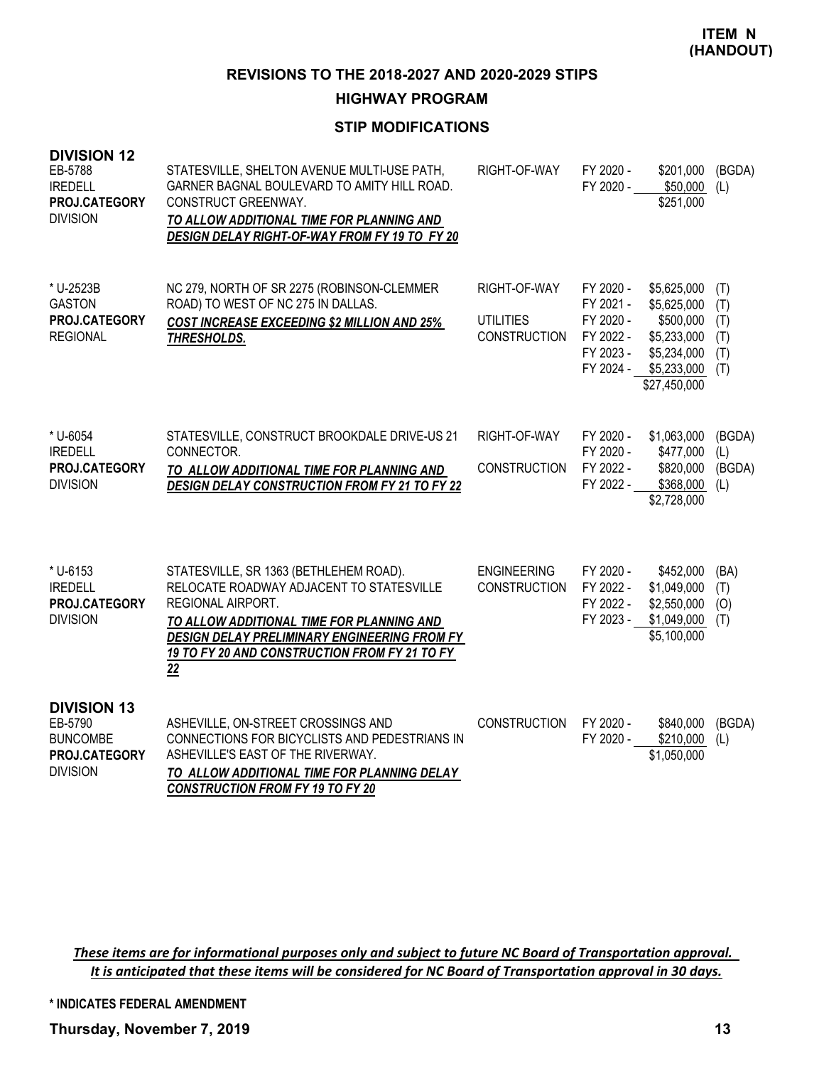### **HIGHWAY PROGRAM**

## **STIP MODIFICATIONS**

| <b>DIVISION 12</b><br>EB-5788<br><b>IREDELL</b><br>PROJ.CATEGORY<br><b>DIVISION</b>  | STATESVILLE, SHELTON AVENUE MULTI-USE PATH,<br>GARNER BAGNAL BOULEVARD TO AMITY HILL ROAD.<br>CONSTRUCT GREENWAY.<br>TO ALLOW ADDITIONAL TIME FOR PLANNING AND<br>DESIGN DELAY RIGHT-OF-WAY FROM FY 19 TO FY 20                                                    | RIGHT-OF-WAY                                            | FY 2020 -<br>FY 2020 -                                                     | \$201,000<br>\$50,000<br>\$251,000                                                                   | (BGDA)<br>(L)                          |
|--------------------------------------------------------------------------------------|--------------------------------------------------------------------------------------------------------------------------------------------------------------------------------------------------------------------------------------------------------------------|---------------------------------------------------------|----------------------------------------------------------------------------|------------------------------------------------------------------------------------------------------|----------------------------------------|
| * U-2523B<br><b>GASTON</b><br>PROJ.CATEGORY<br><b>REGIONAL</b>                       | NC 279, NORTH OF SR 2275 (ROBINSON-CLEMMER<br>ROAD) TO WEST OF NC 275 IN DALLAS.<br><b>COST INCREASE EXCEEDING \$2 MILLION AND 25%</b><br><b>THRESHOLDS.</b>                                                                                                       | RIGHT-OF-WAY<br><b>UTILITIES</b><br><b>CONSTRUCTION</b> | FY 2020 -<br>FY 2021 -<br>FY 2020 -<br>FY 2022 -<br>FY 2023 -<br>FY 2024 - | \$5,625,000<br>\$5,625,000<br>\$500,000<br>\$5,233,000<br>\$5,234,000<br>\$5,233,000<br>\$27,450,000 | (T)<br>(T)<br>(T)<br>(T)<br>(T)<br>(T) |
| * U-6054<br><b>IREDELL</b><br>PROJ.CATEGORY<br><b>DIVISION</b>                       | STATESVILLE, CONSTRUCT BROOKDALE DRIVE-US 21<br>CONNECTOR.<br>TO ALLOW ADDITIONAL TIME FOR PLANNING AND<br><b>DESIGN DELAY CONSTRUCTION FROM FY 21 TO FY 22</b>                                                                                                    | RIGHT-OF-WAY<br><b>CONSTRUCTION</b>                     | FY 2020 -<br>FY 2020 -<br>FY 2022 -<br>FY 2022 -                           | \$1,063,000<br>\$477,000<br>\$820,000<br>\$368,000<br>\$2,728,000                                    | (BGDA)<br>(L)<br>(BGDA)<br>(L)         |
| * U-6153<br><b>IREDELL</b><br>PROJ.CATEGORY<br><b>DIVISION</b>                       | STATESVILLE, SR 1363 (BETHLEHEM ROAD).<br>RELOCATE ROADWAY ADJACENT TO STATESVILLE<br>REGIONAL AIRPORT.<br>TO ALLOW ADDITIONAL TIME FOR PLANNING AND<br><b>DESIGN DELAY PRELIMINARY ENGINEERING FROM FY</b><br>19 TO FY 20 AND CONSTRUCTION FROM FY 21 TO FY<br>22 | <b>ENGINEERING</b><br><b>CONSTRUCTION</b>               | FY 2020 -<br>FY 2022 -<br>FY 2022 -<br>FY 2023 -                           | \$452,000<br>\$1,049,000<br>\$2,550,000<br>\$1,049,000<br>\$5,100,000                                | (BA)<br>(T)<br>(O)<br>(T)              |
| <b>DIVISION 13</b><br>EB-5790<br><b>BUNCOMBE</b><br>PROJ.CATEGORY<br><b>DIVISION</b> | ASHEVILLE, ON-STREET CROSSINGS AND<br>CONNECTIONS FOR BICYCLISTS AND PEDESTRIANS IN<br>ASHEVILLE'S EAST OF THE RIVERWAY.<br>TO ALLOW ADDITIONAL TIME FOR PLANNING DELAY<br><b>CONSTRUCTION FROM FY 19 TO FY 20</b>                                                 | <b>CONSTRUCTION</b>                                     | FY 2020 -<br>FY 2020 -                                                     | \$840,000<br>\$210,000<br>\$1,050,000                                                                | (BGDA)<br>(L)                          |

*These items are for informational purposes only and subject to future NC Board of Transportation approval. It is anticipated that these items will be considered for NC Board of Transportation approval in 30 days.*

**\* INDICATES FEDERAL AMENDMENT**